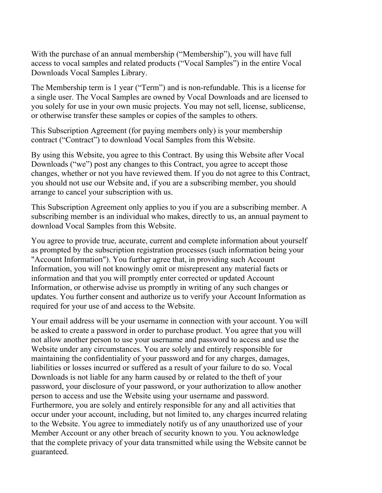With the purchase of an annual membership ("Membership"), you will have full access to vocal samples and related products ("Vocal Samples") in the entire Vocal Downloads Vocal Samples Library.

The Membership term is 1 year ("Term") and is non-refundable. This is a license for a single user. The Vocal Samples are owned by Vocal Downloads and are licensed to you solely for use in your own music projects. You may not sell, license, sublicense, or otherwise transfer these samples or copies of the samples to others.

This Subscription Agreement (for paying members only) is your membership contract ("Contract") to download Vocal Samples from this Website.

By using this Website, you agree to this Contract. By using this Website after Vocal Downloads ("we") post any changes to this Contract, you agree to accept those changes, whether or not you have reviewed them. If you do not agree to this Contract, you should not use our Website and, if you are a subscribing member, you should arrange to cancel your subscription with us.

This Subscription Agreement only applies to you if you are a subscribing member. A subscribing member is an individual who makes, directly to us, an annual payment to download Vocal Samples from this Website.

You agree to provide true, accurate, current and complete information about yourself as prompted by the subscription registration processes (such information being your "Account Information"). You further agree that, in providing such Account Information, you will not knowingly omit or misrepresent any material facts or information and that you will promptly enter corrected or updated Account Information, or otherwise advise us promptly in writing of any such changes or updates. You further consent and authorize us to verify your Account Information as required for your use of and access to the Website.

Your email address will be your username in connection with your account. You will be asked to create a password in order to purchase product. You agree that you will not allow another person to use your username and password to access and use the Website under any circumstances. You are solely and entirely responsible for maintaining the confidentiality of your password and for any charges, damages, liabilities or losses incurred or suffered as a result of your failure to do so. Vocal Downloads is not liable for any harm caused by or related to the theft of your password, your disclosure of your password, or your authorization to allow another person to access and use the Website using your username and password. Furthermore, you are solely and entirely responsible for any and all activities that occur under your account, including, but not limited to, any charges incurred relating to the Website. You agree to immediately notify us of any unauthorized use of your Member Account or any other breach of security known to you. You acknowledge that the complete privacy of your data transmitted while using the Website cannot be guaranteed.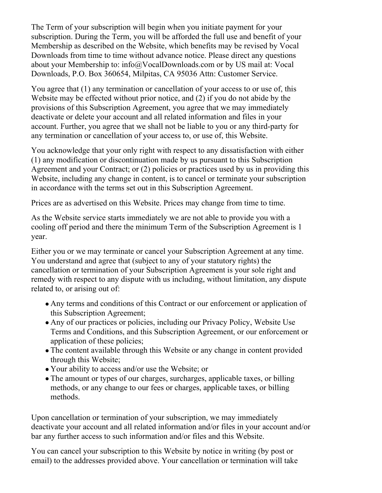The Term of your subscription will begin when you initiate payment for your subscription. During the Term, you will be afforded the full use and benefit of your Membership as described on the Website, which benefits may be revised by Vocal Downloads from time to time without advance notice. Please direct any questions about your Membership to: info@VocalDownloads.com or by US mail at: Vocal Downloads, P.O. Box 360654, Milpitas, CA 95036 Attn: Customer Service.

You agree that (1) any termination or cancellation of your access to or use of, this Website may be effected without prior notice, and (2) if you do not abide by the provisions of this Subscription Agreement, you agree that we may immediately deactivate or delete your account and all related information and files in your account. Further, you agree that we shall not be liable to you or any third-party for any termination or cancellation of your access to, or use of, this Website.

You acknowledge that your only right with respect to any dissatisfaction with either (1) any modification or discontinuation made by us pursuant to this Subscription Agreement and your Contract; or (2) policies or practices used by us in providing this Website, including any change in content, is to cancel or terminate your subscription in accordance with the terms set out in this Subscription Agreement.

Prices are as advertised on this Website. Prices may change from time to time.

As the Website service starts immediately we are not able to provide you with a cooling off period and there the minimum Term of the Subscription Agreement is 1 year.

Either you or we may terminate or cancel your Subscription Agreement at any time. You understand and agree that (subject to any of your statutory rights) the cancellation or termination of your Subscription Agreement is your sole right and remedy with respect to any dispute with us including, without limitation, any dispute related to, or arising out of:

- Any terms and conditions of this Contract or our enforcement or application of this Subscription Agreement;
- Any of our practices or policies, including our Privacy Policy, Website Use Terms and Conditions, and this Subscription Agreement, or our enforcement or application of these policies;
- The content available through this Website or any change in content provided through this Website;
- Your ability to access and/or use the Website; or
- The amount or types of our charges, surcharges, applicable taxes, or billing methods, or any change to our fees or charges, applicable taxes, or billing methods.

Upon cancellation or termination of your subscription, we may immediately deactivate your account and all related information and/or files in your account and/or bar any further access to such information and/or files and this Website.

You can cancel your subscription to this Website by notice in writing (by post or email) to the addresses provided above. Your cancellation or termination will take